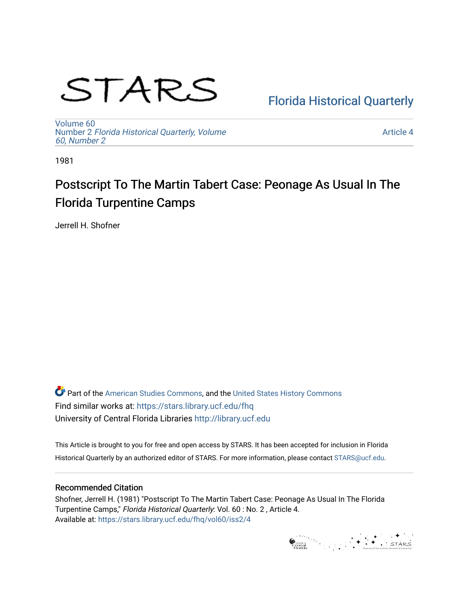# STARS

### [Florida Historical Quarterly](https://stars.library.ucf.edu/fhq)

[Volume 60](https://stars.library.ucf.edu/fhq/vol60) Number 2 [Florida Historical Quarterly, Volume](https://stars.library.ucf.edu/fhq/vol60/iss2)  [60, Number 2](https://stars.library.ucf.edu/fhq/vol60/iss2)

[Article 4](https://stars.library.ucf.edu/fhq/vol60/iss2/4) 

1981

## Postscript To The Martin Tabert Case: Peonage As Usual In The Florida Turpentine Camps

Jerrell H. Shofner

**C** Part of the [American Studies Commons](http://network.bepress.com/hgg/discipline/439?utm_source=stars.library.ucf.edu%2Ffhq%2Fvol60%2Fiss2%2F4&utm_medium=PDF&utm_campaign=PDFCoverPages), and the United States History Commons Find similar works at: <https://stars.library.ucf.edu/fhq> University of Central Florida Libraries [http://library.ucf.edu](http://library.ucf.edu/) 

This Article is brought to you for free and open access by STARS. It has been accepted for inclusion in Florida Historical Quarterly by an authorized editor of STARS. For more information, please contact [STARS@ucf.edu.](mailto:STARS@ucf.edu)

#### Recommended Citation

Shofner, Jerrell H. (1981) "Postscript To The Martin Tabert Case: Peonage As Usual In The Florida Turpentine Camps," Florida Historical Quarterly: Vol. 60 : No. 2 , Article 4. Available at: [https://stars.library.ucf.edu/fhq/vol60/iss2/4](https://stars.library.ucf.edu/fhq/vol60/iss2/4?utm_source=stars.library.ucf.edu%2Ffhq%2Fvol60%2Fiss2%2F4&utm_medium=PDF&utm_campaign=PDFCoverPages) 

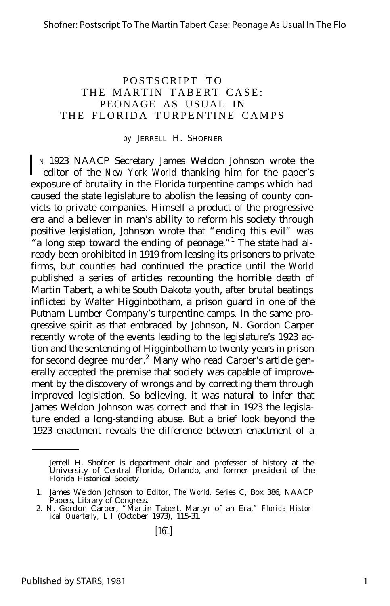#### POSTSCRIPT TO THE MARTIN TABERT CASE: PEONAGE AS USUAL IN THE FLORIDA TURPENTINE CAMPS

#### *by* JERRELL H. SHOFNER

In 1923 NAACP Secretary James Weldon Johnson wrote the editor of the *New York World* thanking him for the paper's N 1923 NAACP Secretary James Weldon Johnson wrote the exposure of brutality in the Florida turpentine camps which had caused the state legislature to abolish the leasing of county convicts to private companies. Himself a product of the progressive era and a believer in man's ability to reform his society through positive legislation, Johnson wrote that "ending this evil" was "a long step toward the ending of peonage."<sup>1</sup> The state had already been prohibited in 1919 from leasing its prisoners to private firms, but counties had continued the practice until the *World* published a series of articles recounting the horrible death of Martin Tabert, a white South Dakota youth, after brutal beatings inflicted by Walter Higginbotham, a prison guard in one of the Putnam Lumber Company's turpentine camps. In the same progressive spirit as that embraced by Johnson, N. Gordon Carper recently wrote of the events leading to the legislature's 1923 action and the sentencing of Higginbotham to twenty years in prison for second degree murder.<sup>2</sup> Many who read Carper's article generally accepted the premise that society was capable of improvement by the discovery of wrongs and by correcting them through improved legislation. So believing, it was natural to infer that James Weldon Johnson was correct and that in 1923 the legislature ended a long-standing abuse. But a brief look beyond the 1923 enactment reveals the difference between enactment of a

Jerrell H. Shofner is department chair and professor of history at the University of Central Florida, Orlando, and former president of the Florida Historical Society.

<sup>1.</sup> James Weldon Johnson to Editor, *The World.* Series C, Box 386, NAACP Papers, Library of Congress.

<sup>2.</sup> N. Gordon Carper, "Martin Tabert, Martyr of an Era," *Florida Histor-ical Quarterly,* LII (October 1973), 115-31.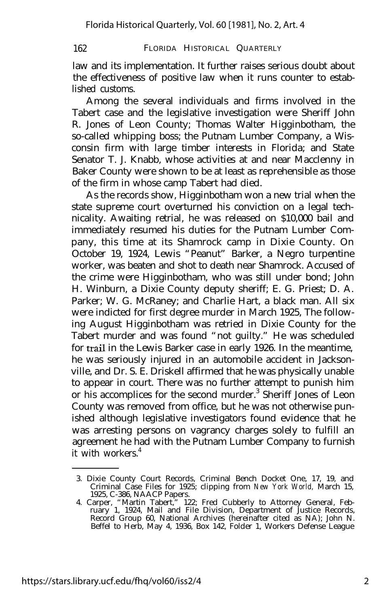law and its implementation. It further raises serious doubt about the effectiveness of positive law when it runs counter to established customs.

Among the several individuals and firms involved in the Tabert case and the legislative investigation were Sheriff John R. Jones of Leon County; Thomas Walter Higginbotham, the so-called whipping boss; the Putnam Lumber Company, a Wisconsin firm with large timber interests in Florida; and State Senator T. J. Knabb, whose activities at and near Macclenny in Baker County were shown to be at least as reprehensible as those of the firm in whose camp Tabert had died.

As the records show, Higginbotham won a new trial when the state supreme court overturned his conviction on a legal technicality. Awaiting retrial, he was released on \$10,000 bail and immediately resumed his duties for the Putnam Lumber Company, this time at its Shamrock camp in Dixie County. On October 19, 1924, Lewis "Peanut" Barker, a Negro turpentine worker, was beaten and shot to death near Shamrock. Accused of the crime were Higginbotham, who was still under bond; John H. Winburn, a Dixie County deputy sheriff; E. G. Priest; D. A. Parker; W. G. McRaney; and Charlie Hart, a black man. All six were indicted for first degree murder in March 1925, The following August Higginbotham was retried in Dixie County for the Tabert murder and was found "not guilty." He was scheduled for trail in the Lewis Barker case in early 1926. In the meantime, he was seriously injured in an automobile accident in Jacksonville, and Dr. S. E. Driskell affirmed that he was physically unable to appear in court. There was no further attempt to punish him or his accomplices for the second murder.<sup>3</sup> Sheriff Jones of Leon County was removed from office, but he was not otherwise punished although legislative investigators found evidence that he was arresting persons on vagrancy charges solely to fulfill an agreement he had with the Putnam Lumber Company to furnish it with workers.<sup>4</sup>

<sup>3.</sup> Dixie County Court Records, Criminal Bench Docket One, 17, 19, and Criminal Case Files for 1925; clipping from *New York World,* March 15, 1925, C-386, NAACP Papers.

<sup>4.</sup> Carper, "Martin Tabert," 122; Fred Cubberly to Attorney General, Feb-ruary 1, 1924, Mail and File Division, Department of Justice Records, Record Group 60, National Archives (hereinafter cited as NA); John N. Beffel to Herb, May 4, 1936, Box 142, Folder 1, Workers Defense League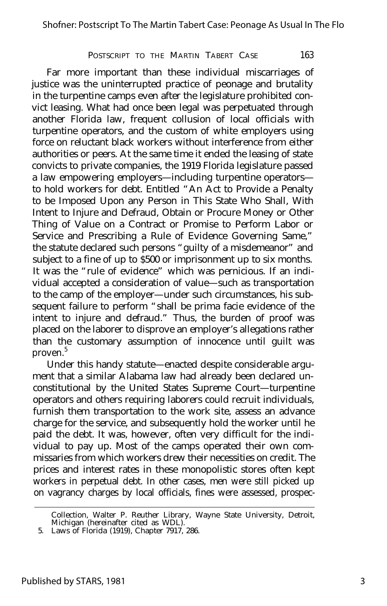Far more important than these individual miscarriages of justice was the uninterrupted practice of peonage and brutality in the turpentine camps even after the legislature prohibited convict leasing. What had once been legal was perpetuated through another Florida law, frequent collusion of local officials with turpentine operators, and the custom of white employers using force on reluctant black workers without interference from either authorities or peers. At the same time it ended the leasing of state convicts to private companies, the 1919 Florida legislature passed a law empowering employers— including turpentine operators to hold workers for debt. Entitled "An Act to Provide a Penalty to be Imposed Upon any Person in This State Who Shall, With Intent to Injure and Defraud, Obtain or Procure Money or Other Thing of Value on a Contract or Promise to Perform Labor or Service and Prescribing a Rule of Evidence Governing Same," the statute declared such persons "guilty of a misdemeanor" and subject to a fine of up to \$500 or imprisonment up to six months. It was the "rule of evidence" which was pernicious. If an individual accepted a consideration of value— such as transportation to the camp of the employer— under such circumstances, his subsequent failure to perform "shall be prima facie evidence of the intent to injure and defraud." Thus, the burden of proof was placed on the laborer to disprove an employer's allegations rather than the customary assumption of innocence until guilt was proven.<sup>5</sup>

Under this handy statute— enacted despite considerable argument that a similar Alabama law had already been declared unconstitutional by the United States Supreme Court— turpentine operators and others requiring laborers could recruit individuals, furnish them transportation to the work site, assess an advance charge for the service, and subsequently hold the worker until he paid the debt. It was, however, often very difficult for the individual to pay up. Most of the camps operated their own commissaries from which workers drew their necessities on credit. The prices and interest rates in these monopolistic stores often kept workers in perpetual debt. In other cases, men were still picked up on vagrancy charges by local officials, fines were assessed, prospec-

Collection, Walter P. Reuther Library, Wayne State University, Detroit, Michigan (hereinafter cited as WDL).

<sup>5.</sup> Laws of Florida (1919), Chapter 7917, 286.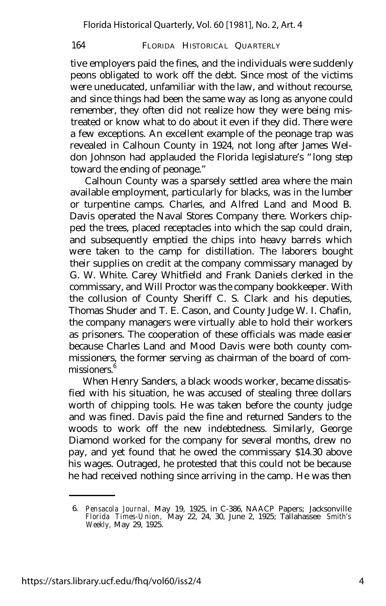tive employers paid the fines, and the individuals were suddenly peons obligated to work off the debt. Since most of the victims were uneducated, unfamiliar with the law, and without recourse, and since things had been the same way as long as anyone could remember, they often did not realize how they were being mistreated or know what to do about it even if they did. There were a few exceptions. An excellent example of the peonage trap was revealed in Calhoun County in 1924, not long after James Weldon Johnson had applauded the Florida legislature's "long step toward the ending of peonage."

Calhoun County was a sparsely settled area where the main available employment, particularly for blacks, was in the lumber or turpentine camps. Charles, and Alfred Land and Mood B. Davis operated the Naval Stores Company there. Workers chipped the trees, placed receptacles into which the sap could drain, and subsequently emptied the chips into heavy barrels which were taken to the camp for distillation. The laborers bought their supplies on credit at the company commissary managed by G. W. White. Carey Whitfield and Frank Daniels clerked in the commissary, and Will Proctor was the company bookkeeper. With the collusion of County Sheriff C. S. Clark and his deputies, Thomas Shuder and T. E. Cason, and County Judge W. I. Chafin, the company managers were virtually able to hold their workers as prisoners. The cooperation of these officials was made easier because Charles Land and Mood Davis were both county commissioners, the former serving as chairman of the board of commissioners.<sup>6</sup>

When Henry Sanders, a black woods worker, became dissatisfied with his situation, he was accused of stealing three dollars worth of chipping tools. He was taken before the county judge and was fined. Davis paid the fine and returned Sanders to the woods to work off the new indebtedness. Similarly, George Diamond worked for the company for several months, drew no pay, and yet found that he owed the commissary \$14.30 above his wages. Outraged, he protested that this could not be because he had received nothing since arriving in the camp. He was then

<sup>6.</sup> *Pensacola Journal,* May 19, 1925, in C-386, NAACP Papers; Jacksonville *Florida Times-Union,* May 22, 24, 30, June 2, 1925; Tallahassee *Smith's Weekly,* May 29, 1925.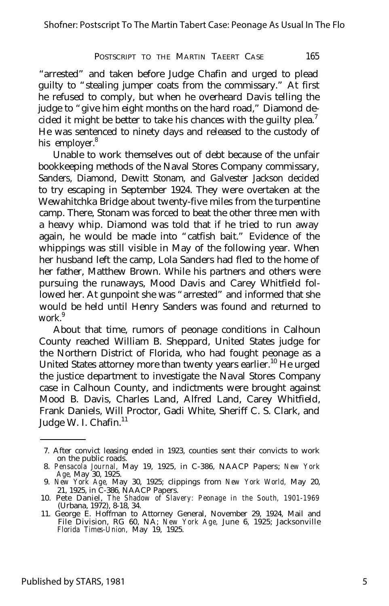"arrested" and taken before Judge Chafin and urged to plead guilty to "stealing jumper coats from the commissary." At first he refused to comply, but when he overheard Davis telling the judge to "give him eight months on the hard road," Diamond decided it might be better to take his chances with the guilty plea.<sup>7</sup> He was sentenced to ninety days and released to the custody of his employer.<sup>8</sup>

Unable to work themselves out of debt because of the unfair bookkeeping methods of the Naval Stores Company commissary, Sanders, Diamond, Dewitt Stonam, and Galvester Jackson decided to try escaping in September 1924. They were overtaken at the Wewahitchka Bridge about twenty-five miles from the turpentine camp. There, Stonam was forced to beat the other three men with a heavy whip. Diamond was told that if he tried to run away again, he would be made into "catfish bait." Evidence of the whippings was still visible in May of the following year. When her husband left the camp, Lola Sanders had fled to the home of her father, Matthew Brown. While his partners and others were pursuing the runaways, Mood Davis and Carey Whitfield followed her. At gunpoint she was "arrested" and informed that she would be held until Henry Sanders was found and returned to work<sup>9</sup>

About that time, rumors of peonage conditions in Calhoun County reached William B. Sheppard, United States judge for the Northern District of Florida, who had fought peonage as a United States attorney more than twenty years earlier.<sup>10</sup> He urged the justice department to investigate the Naval Stores Company case in Calhoun County, and indictments were brought against Mood B. Davis, Charles Land, Alfred Land, Carey Whitfield, Frank Daniels, Will Proctor, Gadi White, Sheriff C. S. Clark, and Judge W. I. Chafin. $^{11}$ 

<sup>7.</sup> After convict leasing ended in 1923, counties sent their convicts to work on the public roads.

<sup>8.</sup> *Pensacola Journal,* May 19, 1925, in C-386, NAACP Papers; *New York Age,* May 30, 1925. 9. *New York Age,* May 30, 1925; clippings from *New York World,* May 20,

<sup>21, 1925,</sup> in C-386, NAACP Papers. 10. Pete Daniel, *The Shadow of Slavery: Peonage in the South, 1901-1969*

<sup>(</sup>Urbana, 1972), 8-18, 34.

<sup>11.</sup> George E. Hoffman to Attorney General, November 29, 1924, Mail and File Division, RG 60, NA; *New York Age,* June 6, 1925; Jacksonville *Florida Times-Union,* May 19, 1925.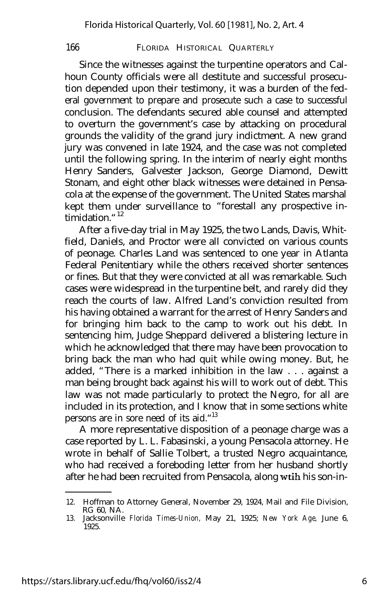Since the witnesses against the turpentine operators and Calhoun County officials were all destitute and successful prosecution depended upon their testimony, it was a burden of the federal government to prepare and prosecute such a case to successful conclusion. The defendants secured able counsel and attempted to overturn the government's case by attacking on procedural grounds the validity of the grand jury indictment. A new grand jury was convened in late 1924, and the case was not completed until the following spring. In the interim of nearly eight months Henry Sanders, Galvester Jackson, George Diamond, Dewitt Stonam, and eight other black witnesses were detained in Pensacola at the expense of the government. The United States marshal kept them under surveillance to "forestall any prospective intimidation. $12$ 

After a five-day trial in May 1925, the two Lands, Davis, Whitfield, Daniels, and Proctor were all convicted on various counts of peonage. Charles Land was sentenced to one year in Atlanta Federal Penitentiary while the others received shorter sentences or fines. But that they were convicted at all was remarkable. Such cases were widespread in the turpentine belt, and rarely did they reach the courts of law. Alfred Land's conviction resulted from his having obtained a warrant for the arrest of Henry Sanders and for bringing him back to the camp to work out his debt. In sentencing him, Judge Sheppard delivered a blistering lecture in which he acknowledged that there may have been provocation to bring back the man who had quit while owing money. But, he added, "There is a marked inhibition in the law . . . against a man being brought back against his will to work out of debt. This law was not made particularly to protect the Negro, for all are included in its protection, and I know that in some sections white persons are in sore need of its aid."<sup>13</sup>

A more representative disposition of a peonage charge was a case reported by L. L. Fabasinski, a young Pensacola attorney. He wrote in behalf of Sallie Tolbert, a trusted Negro acquaintance, who had received a foreboding letter from her husband shortly after he had been recruited from Pensacola, along wtih his son-in-

<sup>12.</sup> Hoffman to Attorney General, November 29, 1924, Mail and File Division, RG 60, NA.

<sup>13.</sup> Jacksonville *Florida Times-Union,* May 21, 1925; *New York Age,* June 6, 1925.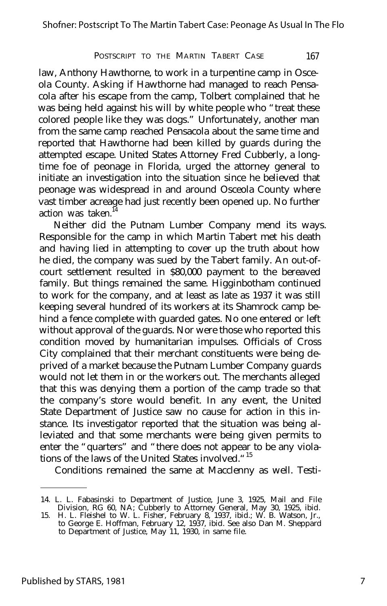law, Anthony Hawthorne, to work in a turpentine camp in Osceola County. Asking if Hawthorne had managed to reach Pensacola after his escape from the camp, Tolbert complained that he was being held against his will by white people who "treat these colored people like they was dogs." Unfortunately, another man from the same camp reached Pensacola about the same time and reported that Hawthorne had been killed by guards during the attempted escape. United States Attorney Fred Cubberly, a longtime foe of peonage in Florida, urged the attorney general to initiate an investigation into the situation since he believed that peonage was widespread in and around Osceola County where vast timber acreage had just recently been opened up. No further action was taken.

Neither did the Putnam Lumber Company mend its ways. Responsible for the camp in which Martin Tabert met his death and having lied in attempting to cover up the truth about how he died, the company was sued by the Tabert family. An out-ofcourt settlement resulted in \$80,000 payment to the bereaved family. But things remained the same. Higginbotham continued to work for the company, and at least as late as 1937 it was still keeping several hundred of its workers at its Shamrock camp behind a fence complete with guarded gates. No one entered or left without approval of the guards. Nor were those who reported this condition moved by humanitarian impulses. Officials of Cross City complained that their merchant constituents were being deprived of a market because the Putnam Lumber Company guards would not let them in or the workers out. The merchants alleged that this was denying them a portion of the camp trade so that the company's store would benefit. In any event, the United State Department of Justice saw no cause for action in this instance. Its investigator reported that the situation was being alleviated and that some merchants were being given permits to enter the "quarters" and "there does not appear to be any violations of the laws of the United States involved."<sup>15</sup>

Conditions remained the same at Macclenny as well. Testi-

<sup>14.</sup> L. L. Fabasinski to Department of Justice, June 3, 1925, Mail and File Division, RG 60, NA; Cubberly to Attorney General, May 30, 1925, ibid.

<sup>15.</sup> H. L. Fleishel to W. L. Fisher, February 8, 1937, ibid.; W. B. Watson, Jr., to George E. Hoffman, February 12, 1937, ibid. See also Dan M. Sheppard to Department of Justice, May 11, 1930, in same file.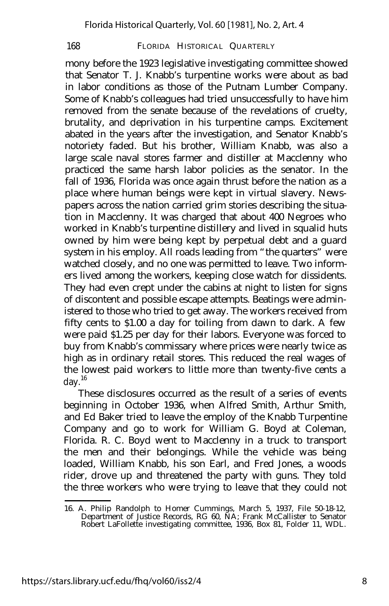mony before the 1923 legislative investigating committee showed that Senator T. J. Knabb's turpentine works were about as bad in labor conditions as those of the Putnam Lumber Company. Some of Knabb's colleagues had tried unsuccessfully to have him removed from the senate because of the revelations of cruelty, brutality, and deprivation in his turpentine camps. Excitement abated in the years after the investigation, and Senator Knabb's notoriety faded. But his brother, William Knabb, was also a large scale naval stores farmer and distiller at Macclenny who practiced the same harsh labor policies as the senator. In the fall of 1936, Florida was once again thrust before the nation as a place where human beings were kept in virtual slavery. Newspapers across the nation carried grim stories describing the situation in Macclenny. It was charged that about 400 Negroes who worked in Knabb's turpentine distillery and lived in squalid huts owned by him were being kept by perpetual debt and a guard system in his employ. All roads leading from "the quarters" were watched closely, and no one was permitted to leave. Two informers lived among the workers, keeping close watch for dissidents. They had even crept under the cabins at night to listen for signs of discontent and possible escape attempts. Beatings were administered to those who tried to get away. The workers received from fifty cents to \$1.00 a day for toiling from dawn to dark. A few were paid \$1.25 per day for their labors. Everyone was forced to buy from Knabb's commissary where prices were nearly twice as high as in ordinary retail stores. This reduced the real wages of the lowest paid workers to little more than twenty-five cents a day. $16$ 

These disclosures occurred as the result of a series of events beginning in October 1936, when Alfred Smith, Arthur Smith, and Ed Baker tried to leave the employ of the Knabb Turpentine Company and go to work for William G. Boyd at Coleman, Florida. R. C. Boyd went to Macclenny in a truck to transport the men and their belongings. While the vehicle was being loaded, William Knabb, his son Earl, and Fred Jones, a woods rider, drove up and threatened the party with guns. They told the three workers who were trying to leave that they could not

<sup>16.</sup> A. Philip Randolph to Homer Cummings, March 5, 1937, File 50-18-12, Department of Justice Records, RG 60, NA; Frank McCallister to Senator Robert LaFollette investigating committee, 1936, Box 81, Folder 11, WDL.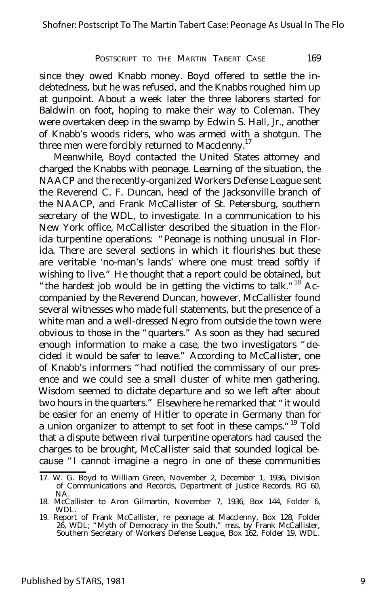since they owed Knabb money. Boyd offered to settle the indebtedness, but he was refused, and the Knabbs roughed him up at gunpoint. About a week later the three laborers started for Baldwin on foot, hoping to make their way to Coleman. They were overtaken deep in the swamp by Edwin S. Hall, Jr., another of Knabb's woods riders, who was armed with a shotgun. The three men were forcibly returned to Macclenny.<sup>17</sup>

Meanwhile, Boyd contacted the United States attorney and charged the Knabbs with peonage. Learning of the situation, the NAACP and the recently-organized Workers Defense League sent the Reverend C. F. Duncan, head of the Jacksonville branch of the NAACP, and Frank McCallister of St. Petersburg, southern secretary of the WDL, to investigate. In a communication to his New York office, McCallister described the situation in the Florida turpentine operations: "Peonage is nothing unusual in Florida. There are several sections in which it flourishes but these are veritable 'no-man's lands' where one must tread softly if wishing to live." He thought that a report could be obtained, but "the hardest job would be in getting the victims to talk."<sup>18</sup> Accompanied by the Reverend Duncan, however, McCallister found several witnesses who made full statements, but the presence of a white man and a well-dressed Negro from outside the town were obvious to those in the "quarters." As soon as they had secured enough information to make a case, the two investigators "decided it would be safer to leave." According to McCallister, one of Knabb's informers "had notified the commissary of our presence and we could see a small cluster of white men gathering. Wisdom seemed to dictate departure and so we left after about two hours in the quarters." Elsewhere he remarked that "it would be easier for an enemy of Hitler to operate in Germany than for a union organizer to attempt to set foot in these camps."<sup>19</sup> Told that a dispute between rival turpentine operators had caused the charges to be brought, McCallister said that sounded logical because "I cannot imagine a negro in one of these communities

<sup>17.</sup> W. G. Boyd to William Green, November 2, December 1, 1936, Division of Communications and Records, Department of Justice Records, RG 60, NA.

<sup>18.</sup> McCallister to Aron Gilmartin, November 7, 1936, Box 144, Folder 6, WDL.

<sup>19.</sup> Report of Frank McCallister, re peonage at Macclenny, Box 128, Folder 26, WDL; "Myth of Democracy in the South," mss. by Frank McCallister, Southern Secretary of Workers Defense League, Box 162, Folder 19, WDL.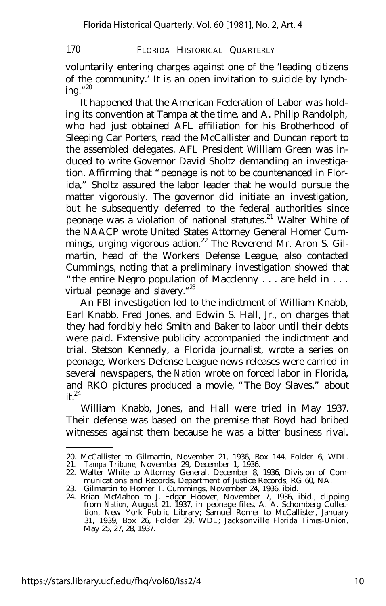voluntarily entering charges against one of the 'leading citizens of the community.' It is an open invitation to suicide by lynching."<sup>20</sup>

It happened that the American Federation of Labor was holding its convention at Tampa at the time, and A. Philip Randolph, who had just obtained AFL affiliation for his Brotherhood of Sleeping Car Porters, read the McCallister and Duncan report to the assembled delegates. AFL President William Green was induced to write Governor David Sholtz demanding an investigation. Affirming that "peonage is not to be countenanced in Florida," Sholtz assured the labor leader that he would pursue the matter vigorously. The governor did initiate an investigation, but he subsequently deferred to the federal authorities since peonage was a violation of national statutes.<sup>21</sup> Walter White of the NAACP wrote United States Attorney General Homer Cummings, urging vigorous action.<sup>22</sup> The Reverend Mr. Aron S. Gilmartin, head of the Workers Defense League, also contacted Cummings, noting that a preliminary investigation showed that "the entire Negro population of Macclenny . . . are held in . . . virtual peonage and slavery."<sup>23</sup>

An FBI investigation led to the indictment of William Knabb, Earl Knabb, Fred Jones, and Edwin S. Hall, Jr., on charges that they had forcibly held Smith and Baker to labor until their debts were paid. Extensive publicity accompanied the indictment and trial. Stetson Kennedy, a Florida journalist, wrote a series on peonage, Workers Defense League news releases were carried in several newspapers, the *Nation* wrote on forced labor in Florida, and RKO pictures produced a movie, "The Boy Slaves," about  $it.<sup>24</sup>$ 

William Knabb, Jones, and Hall were tried in May 1937. Their defense was based on the premise that Boyd had bribed witnesses against them because he was a bitter business rival.

<sup>20.</sup> McCallister to Gilmartin, November 21, 1936, Box 144, Folder 6, WDL.

<sup>21.</sup> *Tampa Tribune,* November 29, December 1, 1936.

<sup>22.</sup> Walter White to Attorney General, December 8, 1936, Division of Communications and Records, Department of Justice Records, RG 60, NA.

<sup>23.</sup> Gilmartin to Homer T. Cummings, November 24, 1936, ibid.

<sup>24.</sup> Brian McMahon to J. Edgar Hoover, November 7, 1936, ibid.; clipping from *Nation,* August 21, 1937, in peonage files, A. A. Schomberg Collection, New York Public Library; Samuel Romer to McCallister, January 31, 1939, Box 26, Folder 29, WDL; Jacksonville *Florida Times-Union,* May 25, 27, 28, 1937.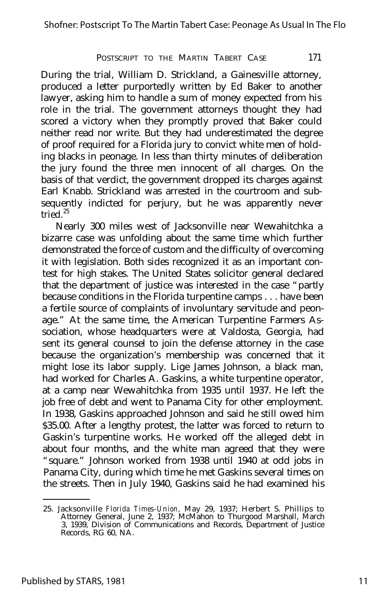During the trial, William D. Strickland, a Gainesville attorney, produced a letter purportedly written by Ed Baker to another lawyer, asking him to handle a sum of money expected from his role in the trial. The government attorneys thought they had scored a victory when they promptly proved that Baker could neither read nor write. But they had underestimated the degree of proof required for a Florida jury to convict white men of holding blacks in peonage. In less than thirty minutes of deliberation the jury found the three men innocent of all charges. On the basis of that verdict, the government dropped its charges against Earl Knabb. Strickland was arrested in the courtroom and subsequently indicted for perjury, but he was apparently never tried. $25$ 

Nearly 300 miles west of Jacksonville near Wewahitchka a bizarre case was unfolding about the same time which further demonstrated the force of custom and the difficulty of overcoming it with legislation. Both sides recognized it as an important contest for high stakes. The United States solicitor general declared that the department of justice was interested in the case "partly because conditions in the Florida turpentine camps . . . have been a fertile source of complaints of involuntary servitude and peonage." At the same time, the American Turpentine Farmers Association, whose headquarters were at Valdosta, Georgia, had sent its general counsel to join the defense attorney in the case because the organization's membership was concerned that it might lose its labor supply. Lige James Johnson, a black man, had worked for Charles A. Gaskins, a white turpentine operator, at a camp near Wewahitchka from 1935 until 1937. He left the job free of debt and went to Panama City for other employment. In 1938, Gaskins approached Johnson and said he still owed him \$35.00. After a lengthy protest, the latter was forced to return to Gaskin's turpentine works. He worked off the alleged debt in about four months, and the white man agreed that they were "square." Johnson worked from 1938 until 1940 at odd jobs in Panama City, during which time he met Gaskins several times on the streets. Then in July 1940, Gaskins said he had examined his

<sup>25.</sup> Jacksonville *Florida Times-Union,* May 29, 1937; Herbert S. Phillips to Attorney General, June 2, 1937; McMahon to Thurgood Marshall, March 3, 1939, Division of Communications and Records, Department of Justice Records, RG 60, NA.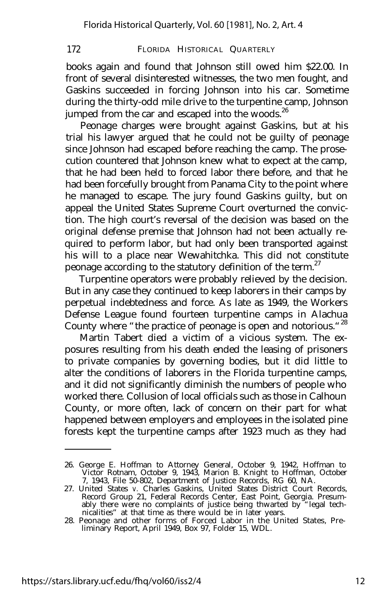books again and found that Johnson still owed him \$22.00. In front of several disinterested witnesses, the two men fought, and Gaskins succeeded in forcing Johnson into his car. Sometime during the thirty-odd mile drive to the turpentine camp, Johnson jumped from the car and escaped into the woods. $^{26}$ 

Peonage charges were brought against Gaskins, but at his trial his lawyer argued that he could not be guilty of peonage since Johnson had escaped before reaching the camp. The prosecution countered that Johnson knew what to expect at the camp, that he had been held to forced labor there before, and that he had been forcefully brought from Panama City to the point where he managed to escape. The jury found Gaskins guilty, but on appeal the United States Supreme Court overturned the conviction. The high court's reversal of the decision was based on the original defense premise that Johnson had not been actually required to perform labor, but had only been transported against his will to a place near Wewahitchka. This did not constitute peonage according to the statutory definition of the term.<sup>27</sup>

Turpentine operators were probably relieved by the decision. But in any case they continued to keep laborers in their camps by perpetual indebtedness and force. As late as 1949, the Workers Defense League found fourteen turpentine camps in Alachua County where "the practice of peonage is open and notorious."<sup>28</sup>

Martin Tabert died a victim of a vicious system. The exposures resulting from his death ended the leasing of prisoners to private companies by governing bodies, but it did little to alter the conditions of laborers in the Florida turpentine camps, and it did not significantly diminish the numbers of people who worked there. Collusion of local officials such as those in Calhoun County, or more often, lack of concern on their part for what happened between employers and employees in the isolated pine forests kept the turpentine camps after 1923 much as they had

<sup>26.</sup> George E. Hoffman to Attorney General, October 9, 1942, Hoffman to Victor Rotnam, October 9, 1943, Marion B. Knight to Hoffman, October 7, 1943, File 50-802, Department of Justice Records, RG 60, NA.

<sup>27.</sup> United States *v.* Charles Gaskins, United States District Court Records, Record Group 21, Federal Records Center, East Point, Georgia. Presum-ably there were no complaints of justice being thwarted by "legal technicalities" at that time as there would be in later years.

<sup>28.</sup> Peonage and other forms of Forced Labor in the United States, Pre-liminary Report, April 1949, Box 97, Folder 15, WDL.